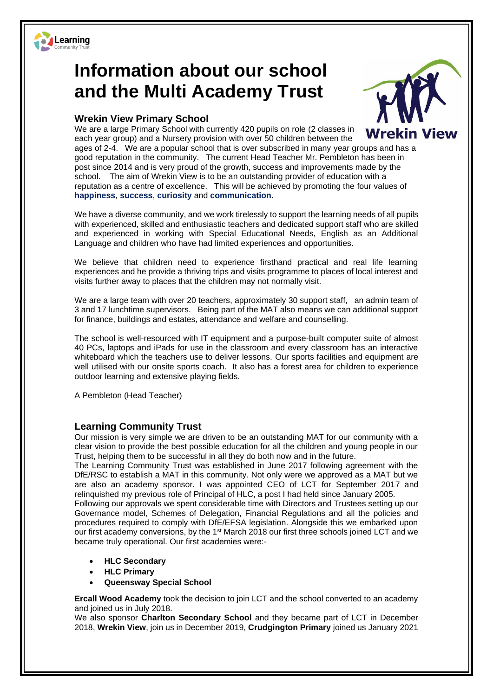

## **Information about our school and the Multi Academy Trust**

## **Wrekin View Primary School**



We are a large Primary School with currently 420 pupils on role (2 classes in **Wrekin View** each year group) and a Nursery provision with over 50 children between the ages of 2-4. We are a popular school that is over subscribed in many year groups and has a good reputation in the community. The current Head Teacher Mr. Pembleton has been in post since 2014 and is very proud of the growth, success and improvements made by the school. The aim of Wrekin View is to be an outstanding provider of education with a reputation as a centre of excellence. This will be achieved by promoting the four values of **happiness**, **success**, **curiosity** and **communication**.

We have a diverse community, and we work tirelessly to support the learning needs of all pupils with experienced, skilled and enthusiastic teachers and dedicated support staff who are skilled and experienced in working with Special Educational Needs, English as an Additional Language and children who have had limited experiences and opportunities.

We believe that children need to experience firsthand practical and real life learning experiences and he provide a thriving trips and visits programme to places of local interest and visits further away to places that the children may not normally visit.

We are a large team with over 20 teachers, approximately 30 support staff, an admin team of 3 and 17 lunchtime supervisors. Being part of the MAT also means we can additional support for finance, buildings and estates, attendance and welfare and counselling.

The school is well-resourced with IT equipment and a purpose-built computer suite of almost 40 PCs, laptops and iPads for use in the classroom and every classroom has an interactive whiteboard which the teachers use to deliver lessons. Our sports facilities and equipment are well utilised with our onsite sports coach. It also has a forest area for children to experience outdoor learning and extensive playing fields.

A Pembleton (Head Teacher)

## **Learning Community Trust**

Our mission is very simple we are driven to be an outstanding MAT for our community with a clear vision to provide the best possible education for all the children and young people in our Trust, helping them to be successful in all they do both now and in the future.

The Learning Community Trust was established in June 2017 following agreement with the DfE/RSC to establish a MAT in this community. Not only were we approved as a MAT but we are also an academy sponsor. I was appointed CEO of LCT for September 2017 and relinquished my previous role of Principal of HLC, a post I had held since January 2005.

Following our approvals we spent considerable time with Directors and Trustees setting up our Governance model, Schemes of Delegation, Financial Regulations and all the policies and procedures required to comply with DfE/EFSA legislation. Alongside this we embarked upon our first academy conversions, by the 1<sup>st</sup> March 2018 our first three schools joined LCT and we became truly operational. Our first academies were:-

- **HLC Secondary**
- **HLC Primary**
- **Queensway Special School**

**Ercall Wood Academy** took the decision to join LCT and the school converted to an academy and joined us in July 2018.

We also sponsor **Charlton Secondary School** and they became part of LCT in December 2018, **Wrekin View**, join us in December 2019, **Crudgington Primary** joined us January 2021